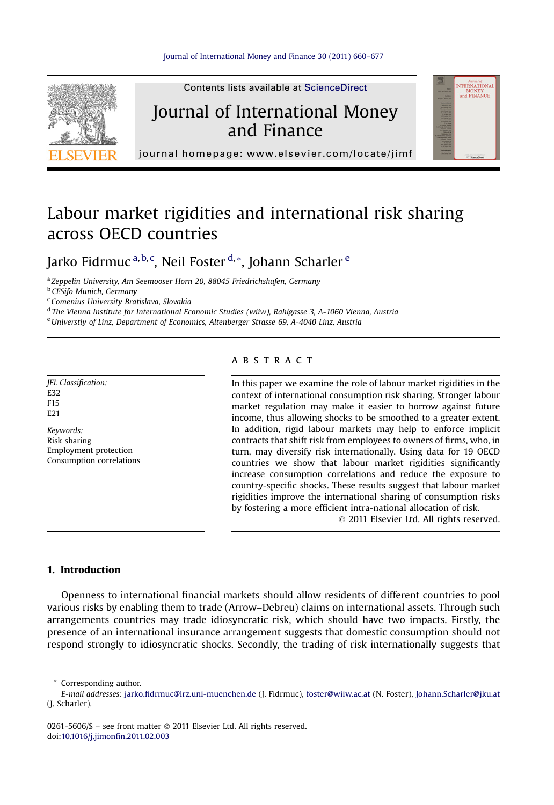

Contents lists available at ScienceDirect

### Journal of International Money and Finance



journal homepage:<www.elsevier.com/locate/jimf>

## Labour market rigidities and international risk sharing across OECD countries

Jarko Fidrmuc <sup>a,b,c</sup>, Neil Foster <sup>d,</sup>\*, Johann Scharler <sup>e</sup>

<sup>a</sup> Zeppelin University, Am Seemooser Horn 20, 88045 Friedrichshafen, Germany

**b** CESifo Munich, Germany

<sup>c</sup> Comenius University Bratislava, Slovakia

<sup>d</sup> The Vienna Institute for International Economic Studies (wiiw), Rahlgasse 3, A-1060 Vienna, Austria

<sup>e</sup>Universtiy of Linz, Department of Economics, Altenberger Strasse 69, A-4040 Linz, Austria

JEL Classification: E32 F15 E21

Keywords: Risk sharing Employment protection Consumption correlations

#### **ABSTRACT**

In this paper we examine the role of labour market rigidities in the context of international consumption risk sharing. Stronger labour market regulation may make it easier to borrow against future income, thus allowing shocks to be smoothed to a greater extent. In addition, rigid labour markets may help to enforce implicit contracts that shift risk from employees to owners of firms, who, in turn, may diversify risk internationally. Using data for 19 OECD countries we show that labour market rigidities significantly increase consumption correlations and reduce the exposure to country-specific shocks. These results suggest that labour market rigidities improve the international sharing of consumption risks by fostering a more efficient intra-national allocation of risk.

2011 Elsevier Ltd. All rights reserved.

#### 1. Introduction

Openness to international financial markets should allow residents of different countries to pool various risks by enabling them to trade (Arrow–Debreu) claims on international assets. Through such arrangements countries may trade idiosyncratic risk, which should have two impacts. Firstly, the presence of an international insurance arrangement suggests that domestic consumption should not respond strongly to idiosyncratic shocks. Secondly, the trading of risk internationally suggests that

\* Corresponding author.

0261-5606/\$ - see front matter  $\odot$  2011 Elsevier Ltd. All rights reserved. doi:[10.1016/j.jimon](http://dx.doi.org/10.1016/j.jimonfin.2011.02.003)fin.2011.02.003

E-mail addresses: jarko.fi[drmuc@lrz.uni-muenchen.de](mailto:jarko.fidrmuc@lrz.uni-muenchen.de) (J. Fidrmuc), [foster@wiiw.ac.at](mailto:foster@wiiw.ac.at) (N. Foster), [Johann.Scharler@jku.at](mailto:Johann.Scharler@jku.at) (J. Scharler).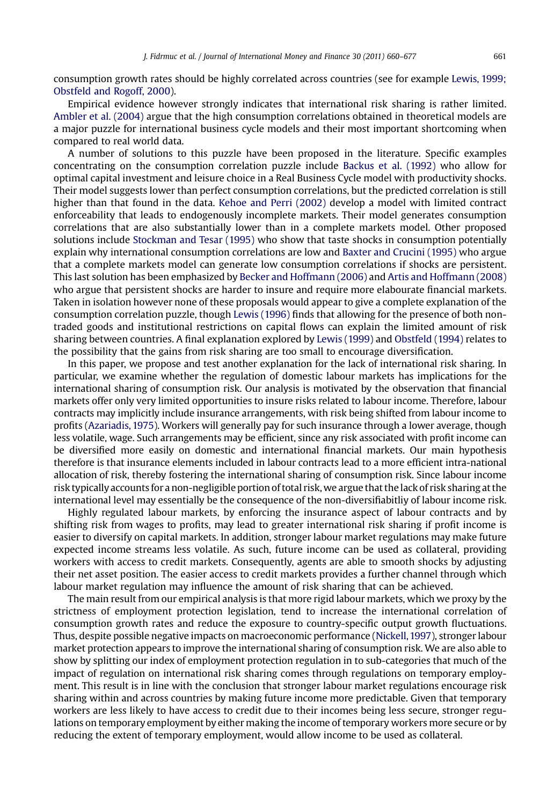consumption growth rates should be highly correlated across countries (see for example [Lewis, 1999;](#page--1-0) [Obstfeld and Rogoff, 2000\)](#page--1-0).

Empirical evidence however strongly indicates that international risk sharing is rather limited. [Ambler et al. \(2004\)](#page--1-0) argue that the high consumption correlations obtained in theoretical models are a major puzzle for international business cycle models and their most important shortcoming when compared to real world data.

A number of solutions to this puzzle have been proposed in the literature. Specific examples concentrating on the consumption correlation puzzle include [Backus et al. \(1992\)](#page--1-0) who allow for optimal capital investment and leisure choice in a Real Business Cycle model with productivity shocks. Their model suggests lower than perfect consumption correlations, but the predicted correlation is still higher than that found in the data. [Kehoe and Perri \(2002\)](#page--1-0) develop a model with limited contract enforceability that leads to endogenously incomplete markets. Their model generates consumption correlations that are also substantially lower than in a complete markets model. Other proposed solutions include [Stockman and Tesar \(1995\)](#page--1-0) who show that taste shocks in consumption potentially explain why international consumption correlations are low and [Baxter and Crucini \(1995\)](#page--1-0) who argue that a complete markets model can generate low consumption correlations if shocks are persistent. This last solution has been emphasized by [Becker and Hoffmann \(2006\)](#page--1-0) and [Artis and Hoffmann \(2008\)](#page--1-0) who argue that persistent shocks are harder to insure and require more elabourate financial markets. Taken in isolation however none of these proposals would appear to give a complete explanation of the consumption correlation puzzle, though [Lewis \(1996\)](#page--1-0) finds that allowing for the presence of both nontraded goods and institutional restrictions on capital flows can explain the limited amount of risk sharing between countries. A final explanation explored by [Lewis \(1999\)](#page--1-0) and [Obstfeld \(1994\)](#page--1-0) relates to the possibility that the gains from risk sharing are too small to encourage diversification.

In this paper, we propose and test another explanation for the lack of international risk sharing. In particular, we examine whether the regulation of domestic labour markets has implications for the international sharing of consumption risk. Our analysis is motivated by the observation that financial markets offer only very limited opportunities to insure risks related to labour income. Therefore, labour contracts may implicitly include insurance arrangements, with risk being shifted from labour income to profits [\(Azariadis, 1975\)](#page--1-0). Workers will generally pay for such insurance through a lower average, though less volatile, wage. Such arrangements may be efficient, since any risk associated with profit income can be diversified more easily on domestic and international financial markets. Our main hypothesis therefore is that insurance elements included in labour contracts lead to a more efficient intra-national allocation of risk, thereby fostering the international sharing of consumption risk. Since labour income risk typically accounts for a non-negligible portion of total risk, we argue that the lack of risk sharing at the international level may essentially be the consequence of the non-diversifiabitliy of labour income risk.

Highly regulated labour markets, by enforcing the insurance aspect of labour contracts and by shifting risk from wages to profits, may lead to greater international risk sharing if profit income is easier to diversify on capital markets. In addition, stronger labour market regulations may make future expected income streams less volatile. As such, future income can be used as collateral, providing workers with access to credit markets. Consequently, agents are able to smooth shocks by adjusting their net asset position. The easier access to credit markets provides a further channel through which labour market regulation may influence the amount of risk sharing that can be achieved.

The main result from our empirical analysis is that more rigid labour markets, which we proxy by the strictness of employment protection legislation, tend to increase the international correlation of consumption growth rates and reduce the exposure to country-specific output growth fluctuations. Thus, despite possible negative impacts on macroeconomic performance [\(Nickell,1997](#page--1-0)), stronger labour market protection appears to improve the international sharing of consumption risk. We are also able to show by splitting our index of employment protection regulation in to sub-categories that much of the impact of regulation on international risk sharing comes through regulations on temporary employment. This result is in line with the conclusion that stronger labour market regulations encourage risk sharing within and across countries by making future income more predictable. Given that temporary workers are less likely to have access to credit due to their incomes being less secure, stronger regulations on temporary employment by either making the income of temporary workers more secure or by reducing the extent of temporary employment, would allow income to be used as collateral.